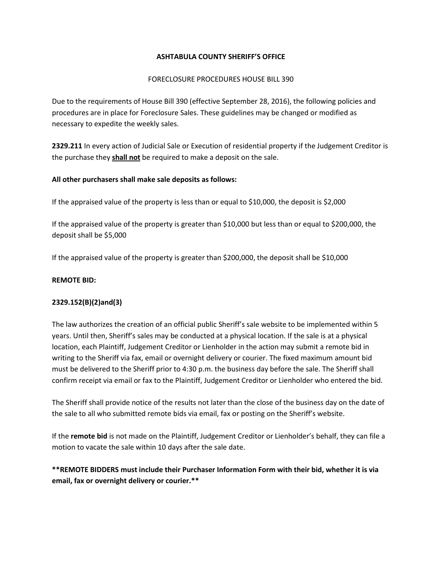#### **ASHTABULA COUNTY SHERIFF'S OFFICE**

#### FORECLOSURE PROCEDURES HOUSE BILL 390

Due to the requirements of House Bill 390 (effective September 28, 2016), the following policies and procedures are in place for Foreclosure Sales. These guidelines may be changed or modified as necessary to expedite the weekly sales.

**2329.211** In every action of Judicial Sale or Execution of residential property if the Judgement Creditor is the purchase they **shall not** be required to make a deposit on the sale.

## **All other purchasers shall make sale deposits as follows:**

If the appraised value of the property is less than or equal to \$10,000, the deposit is \$2,000

If the appraised value of the property is greater than \$10,000 but less than or equal to \$200,000, the deposit shall be \$5,000

If the appraised value of the property is greater than \$200,000, the deposit shall be \$10,000

#### **REMOTE BID:**

#### **2329.152(B)(2)and(3)**

The law authorizes the creation of an official public Sheriff's sale website to be implemented within 5 years. Until then, Sheriff's sales may be conducted at a physical location. If the sale is at a physical location, each Plaintiff, Judgement Creditor or Lienholder in the action may submit a remote bid in writing to the Sheriff via fax, email or overnight delivery or courier. The fixed maximum amount bid must be delivered to the Sheriff prior to 4:30 p.m. the business day before the sale. The Sheriff shall confirm receipt via email or fax to the Plaintiff, Judgement Creditor or Lienholder who entered the bid.

The Sheriff shall provide notice of the results not later than the close of the business day on the date of the sale to all who submitted remote bids via email, fax or posting on the Sheriff's website.

If the **remote bid** is not made on the Plaintiff, Judgement Creditor or Lienholder's behalf, they can file a motion to vacate the sale within 10 days after the sale date.

# **\*\*REMOTE BIDDERS must include their Purchaser Information Form with their bid, whether it is via email, fax or overnight delivery or courier.\*\***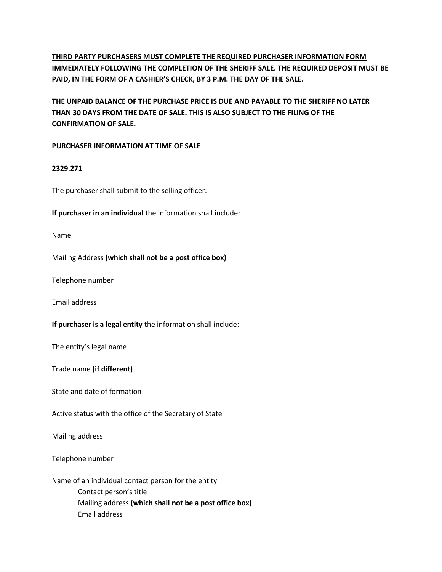# **THIRD PARTY PURCHASERS MUST COMPLETE THE REQUIRED PURCHASER INFORMATION FORM IMMEDIATELY FOLLOWING THE COMPLETION OF THE SHERIFF SALE. THE REQUIRED DEPOSIT MUST BE PAID, IN THE FORM OF A CASHIER'S CHECK, BY 3 P.M. THE DAY OF THE SALE.**

**THE UNPAID BALANCE OF THE PURCHASE PRICE IS DUE AND PAYABLE TO THE SHERIFF NO LATER THAN 30 DAYS FROM THE DATE OF SALE. THIS IS ALSO SUBJECT TO THE FILING OF THE CONFIRMATION OF SALE.**

#### **PURCHASER INFORMATION AT TIME OF SALE**

## **2329.271**

The purchaser shall submit to the selling officer:

**If purchaser in an individual** the information shall include:

Name

Mailing Address **(which shall not be a post office box)**

Telephone number

Email address

**If purchaser is a legal entity** the information shall include:

The entity's legal name

Trade name **(if different)**

State and date of formation

Active status with the office of the Secretary of State

Mailing address

Telephone number

Name of an individual contact person for the entity Contact person's title Mailing address **(which shall not be a post office box)** Email address